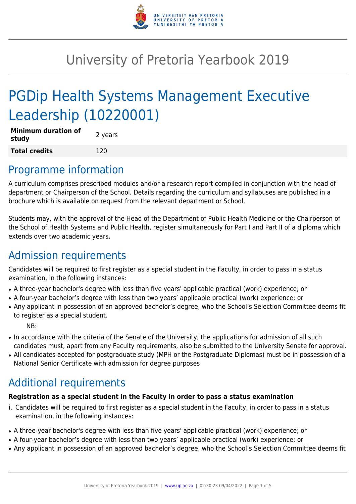

# University of Pretoria Yearbook 2019

# PGDip Health Systems Management Executive Leadership (10220001)

| <b>Minimum duration of</b><br>study | 2 years |
|-------------------------------------|---------|
| <b>Total credits</b>                | 120     |

### Programme information

A curriculum comprises prescribed modules and/or a research report compiled in conjunction with the head of department or Chairperson of the School. Details regarding the curriculum and syllabuses are published in a brochure which is available on request from the relevant department or School.

Students may, with the approval of the Head of the Department of Public Health Medicine or the Chairperson of the School of Health Systems and Public Health, register simultaneously for Part I and Part II of a diploma which extends over two academic years.

# Admission requirements

Candidates will be required to first register as a special student in the Faculty, in order to pass in a status examination, in the following instances:

- A three-year bachelor's degree with less than five years' applicable practical (work) experience; or
- A four-year bachelor's degree with less than two years' applicable practical (work) experience; or
- Any applicant in possession of an approved bachelor's degree, who the School's Selection Committee deems fit to register as a special student.

NB:

- In accordance with the criteria of the Senate of the University, the applications for admission of all such candidates must, apart from any Faculty requirements, also be submitted to the University Senate for approval.
- All candidates accepted for postgraduate study (MPH or the Postgraduate Diplomas) must be in possession of a National Senior Certificate with admission for degree purposes

# Additional requirements

### **Registration as a special student in the Faculty in order to pass a status examination**

- i. Candidates will be required to first register as a special student in the Faculty, in order to pass in a status examination, in the following instances:
- A three-year bachelor's degree with less than five years' applicable practical (work) experience; or
- A four-year bachelor's degree with less than two years' applicable practical (work) experience; or
- Any applicant in possession of an approved bachelor's degree, who the School's Selection Committee deems fit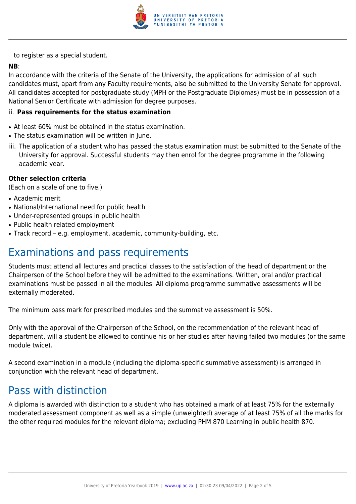

to register as a special student.

### **NB**:

In accordance with the criteria of the Senate of the University, the applications for admission of all such candidates must, apart from any Faculty requirements, also be submitted to the University Senate for approval. All candidates accepted for postgraduate study (MPH or the Postgraduate Diplomas) must be in possession of a National Senior Certificate with admission for degree purposes.

#### ii. **Pass requirements for the status examination**

- At least 60% must be obtained in the status examination.
- The status examination will be written in June.
- iii. The application of a student who has passed the status examination must be submitted to the Senate of the University for approval. Successful students may then enrol for the degree programme in the following academic year.

#### **Other selection criteria**

(Each on a scale of one to five.)

- Academic merit
- National/International need for public health
- Under-represented groups in public health
- Public health related employment
- Track record e.g. employment, academic, community-building, etc.

# Examinations and pass requirements

Students must attend all lectures and practical classes to the satisfaction of the head of department or the Chairperson of the School before they will be admitted to the examinations. Written, oral and/or practical examinations must be passed in all the modules. All diploma programme summative assessments will be externally moderated.

The minimum pass mark for prescribed modules and the summative assessment is 50%.

Only with the approval of the Chairperson of the School, on the recommendation of the relevant head of department, will a student be allowed to continue his or her studies after having failed two modules (or the same module twice).

A second examination in a module (including the diploma-specific summative assessment) is arranged in conjunction with the relevant head of department.

### Pass with distinction

A diploma is awarded with distinction to a student who has obtained a mark of at least 75% for the externally moderated assessment component as well as a simple (unweighted) average of at least 75% of all the marks for the other required modules for the relevant diploma; excluding PHM 870 Learning in public health 870.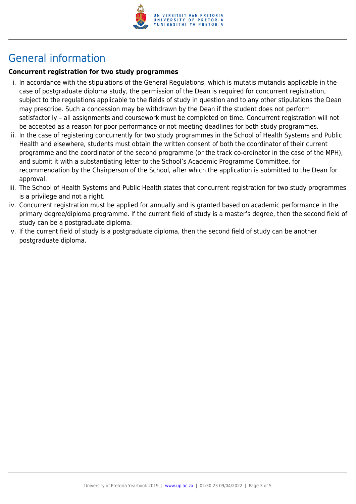

# General information

### **Concurrent registration for two study programmes**

- i. In accordance with the stipulations of the General Regulations, which is mutatis mutandis applicable in the case of postgraduate diploma study, the permission of the Dean is required for concurrent registration, subject to the regulations applicable to the fields of study in question and to any other stipulations the Dean may prescribe. Such a concession may be withdrawn by the Dean if the student does not perform satisfactorily – all assignments and coursework must be completed on time. Concurrent registration will not be accepted as a reason for poor performance or not meeting deadlines for both study programmes.
- ii. In the case of registering concurrently for two study programmes in the School of Health Systems and Public Health and elsewhere, students must obtain the written consent of both the coordinator of their current programme and the coordinator of the second programme (or the track co-ordinator in the case of the MPH), and submit it with a substantiating letter to the School's Academic Programme Committee, for recommendation by the Chairperson of the School, after which the application is submitted to the Dean for approval.
- iii. The School of Health Systems and Public Health states that concurrent registration for two study programmes is a privilege and not a right.
- iv. Concurrent registration must be applied for annually and is granted based on academic performance in the primary degree/diploma programme. If the current field of study is a master's degree, then the second field of study can be a postgraduate diploma.
- v. If the current field of study is a postgraduate diploma, then the second field of study can be another postgraduate diploma.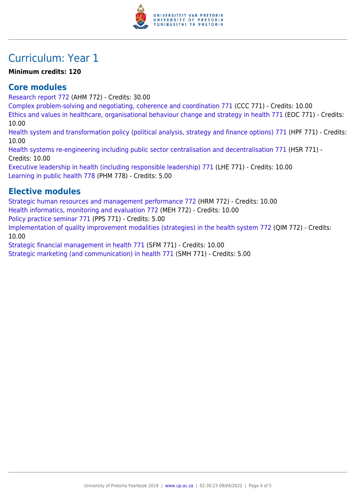

# Curriculum: Year 1

### **Minimum credits: 120**

### **Core modules**

[Research report 772](https://www.up.ac.za/faculty-of-education/yearbooks/2019/modules/view/AHM 772) (AHM 772) - Credits: 30.00

[Complex problem-solving and negotiating, coherence and coordination 771](https://www.up.ac.za/faculty-of-education/yearbooks/2019/modules/view/CCC 771) (CCC 771) - Credits: 10.00

[Ethics and values in healthcare, organisational behaviour change and strategy in health 771](https://www.up.ac.za/faculty-of-education/yearbooks/2019/modules/view/EOC 771) (EOC 771) - Credits: 10.00

[Health system and transformation policy \(political analysis, strategy and finance options\) 771](https://www.up.ac.za/faculty-of-education/yearbooks/2019/modules/view/HPF 771) (HPF 771) - Credits: 10.00

[Health systems re-engineering including public sector centralisation and decentralisation 771](https://www.up.ac.za/faculty-of-education/yearbooks/2019/modules/view/HSR 771) (HSR 771) - Credits: 10.00

[Executive leadership in health \(including responsible leadership\) 771](https://www.up.ac.za/faculty-of-education/yearbooks/2019/modules/view/LHE 771) (LHE 771) - Credits: 10.00 [Learning in public health 778](https://www.up.ac.za/faculty-of-education/yearbooks/2019/modules/view/PHM 778) (PHM 778) - Credits: 5.00

### **Elective modules**

[Strategic human resources and management performance 772](https://www.up.ac.za/faculty-of-education/yearbooks/2019/modules/view/HRM 772) (HRM 772) - Credits: 10.00 [Health informatics, monitoring and evaluation 772](https://www.up.ac.za/faculty-of-education/yearbooks/2019/modules/view/MEH 772) (MEH 772) - Credits: 10.00 [Policy practice seminar 771](https://www.up.ac.za/faculty-of-education/yearbooks/2019/modules/view/PPS 771) (PPS 771) - Credits: 5.00 [Implementation of quality improvement modalities \(strategies\) in the health system 772](https://www.up.ac.za/faculty-of-education/yearbooks/2019/modules/view/QIM 772) (QIM 772) - Credits: 10.00

[Strategic financial management in health 771](https://www.up.ac.za/faculty-of-education/yearbooks/2019/modules/view/SFM 771) (SFM 771) - Credits: 10.00

[Strategic marketing \(and communication\) in health 771](https://www.up.ac.za/faculty-of-education/yearbooks/2019/modules/view/SMH 771) (SMH 771) - Credits: 5.00